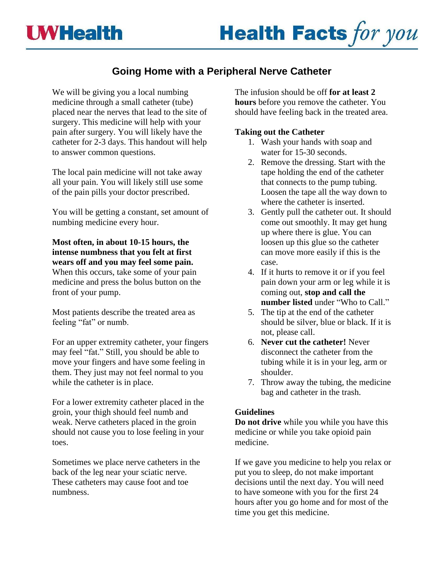

# **Going Home with a Peripheral Nerve Catheter**

We will be giving you a local numbing medicine through a small catheter (tube) placed near the nerves that lead to the site of surgery. This medicine will help with your pain after surgery. You will likely have the catheter for 2-3 days. This handout will help to answer common questions.

The local pain medicine will not take away all your pain. You will likely still use some of the pain pills your doctor prescribed.

You will be getting a constant, set amount of numbing medicine every hour.

**Most often, in about 10-15 hours, the intense numbness that you felt at first wears off and you may feel some pain.** When this occurs, take some of your pain medicine and press the bolus button on the front of your pump.

Most patients describe the treated area as feeling "fat" or numb.

For an upper extremity catheter, your fingers may feel "fat." Still, you should be able to move your fingers and have some feeling in them. They just may not feel normal to you while the catheter is in place.

For a lower extremity catheter placed in the groin, your thigh should feel numb and weak. Nerve catheters placed in the groin should not cause you to lose feeling in your toes.

Sometimes we place nerve catheters in the back of the leg near your sciatic nerve. These catheters may cause foot and toe numbness.

The infusion should be off **for at least 2 hours** before you remove the catheter. You should have feeling back in the treated area.

## **Taking out the Catheter**

- 1. Wash your hands with soap and water for 15-30 seconds.
- 2. Remove the dressing. Start with the tape holding the end of the catheter that connects to the pump tubing. Loosen the tape all the way down to where the catheter is inserted.
- 3. Gently pull the catheter out. It should come out smoothly. It may get hung up where there is glue. You can loosen up this glue so the catheter can move more easily if this is the case.
- 4. If it hurts to remove it or if you feel pain down your arm or leg while it is coming out, **stop and call the number listed** under "Who to Call."
- 5. The tip at the end of the catheter should be silver, blue or black. If it is not, please call.
- 6. **Never cut the catheter!** Never disconnect the catheter from the tubing while it is in your leg, arm or shoulder.
- 7. Throw away the tubing, the medicine bag and catheter in the trash.

## **Guidelines**

**Do not drive** while you while you have this medicine or while you take opioid pain medicine.

If we gave you medicine to help you relax or put you to sleep, do not make important decisions until the next day. You will need to have someone with you for the first 24 hours after you go home and for most of the time you get this medicine.